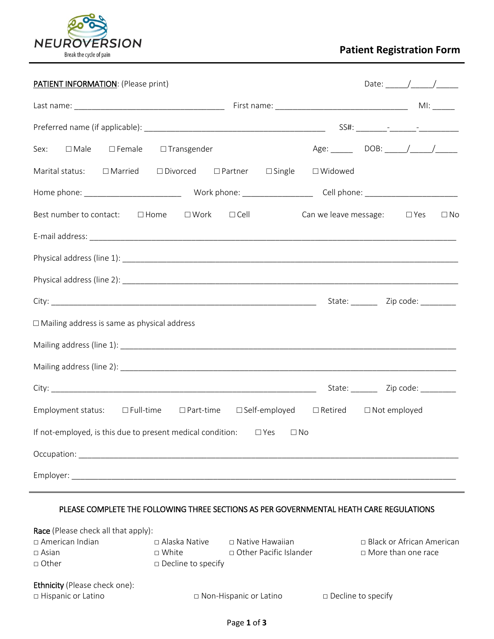

# **Patient Registration Form**

| <b>PATIENT INFORMATION: (Please print)</b>                                            |                                          |
|---------------------------------------------------------------------------------------|------------------------------------------|
|                                                                                       |                                          |
|                                                                                       |                                          |
| $\square$ Male<br>□ Female □ Transgender<br>Sex:                                      |                                          |
| $\Box$ Married $\Box$ Divorced $\Box$ Partner $\Box$ Single<br>Marital status:        | □ Widowed                                |
|                                                                                       |                                          |
| Best number to contact: □ Home<br>$\square$ Work $\square$ Cell                       | Can we leave message: □ Yes<br>$\Box$ No |
|                                                                                       |                                          |
|                                                                                       |                                          |
|                                                                                       |                                          |
|                                                                                       |                                          |
| $\Box$ Mailing address is same as physical address                                    |                                          |
|                                                                                       |                                          |
|                                                                                       |                                          |
|                                                                                       | State: __________ Zip code: _________    |
| Employment status: □Full-time □Part-time □Self-employed □Retired □Not employed        |                                          |
| If not-employed, is this due to present medical condition: $\square$ Yes<br>$\Box$ No |                                          |
|                                                                                       |                                          |
|                                                                                       |                                          |

# PLEASE COMPLETE THE FOLLOWING THREE SECTIONS AS PER GOVERNMENTAL HEATH CARE REGULATIONS

| <b>Race</b> (Please check all that apply): |                           |                          |                             |
|--------------------------------------------|---------------------------|--------------------------|-----------------------------|
| □ American Indian                          | $\Box$ Alaska Native      | □ Native Hawaiian        | □ Black or African American |
| $\Box$ Asian                               | $\sqcap$ White            | □ Other Pacific Islander | $\Box$ More than one race   |
| □ Other                                    | $\Box$ Decline to specify |                          |                             |
|                                            |                           |                          |                             |
| <b>Ethnicity</b> (Please check one):       |                           |                          |                             |
| □ Hispanic or Latino                       |                           | □ Non-Hispanic or Latino | $\Box$ Decline to specify   |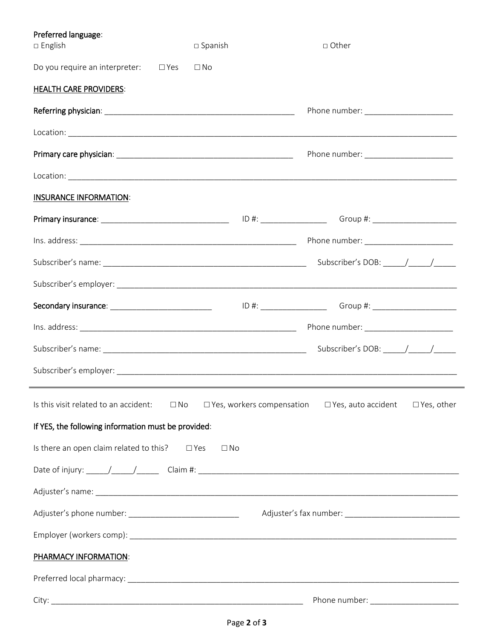| Preferred language:<br>□ English                          | $\square$ Spanish | □ Other                                                                                                        |
|-----------------------------------------------------------|-------------------|----------------------------------------------------------------------------------------------------------------|
| Do you require an interpreter: $\Box$ Yes                 | $\square$ No      |                                                                                                                |
| <b>HEALTH CARE PROVIDERS:</b>                             |                   |                                                                                                                |
|                                                           |                   | Phone number: ________________________                                                                         |
|                                                           |                   |                                                                                                                |
|                                                           |                   | Phone number: _______________________                                                                          |
|                                                           |                   |                                                                                                                |
| <b>INSURANCE INFORMATION:</b>                             |                   |                                                                                                                |
|                                                           |                   | Primary insurance: __________________________________  ID #: ____________________ Group #: ___________________ |
|                                                           |                   |                                                                                                                |
|                                                           |                   |                                                                                                                |
|                                                           |                   |                                                                                                                |
|                                                           |                   | Secondary insurance: _______________________________    ID #: ___________________ Group #: ___________________ |
|                                                           |                   | Phone number: _______________________                                                                          |
|                                                           |                   |                                                                                                                |
|                                                           |                   |                                                                                                                |
| Is this visit related to an accident:                     | $\Box$ No         | $\Box$ Yes, workers compensation $\Box$ Yes, auto accident<br>□ Yes, other                                     |
| If YES, the following information must be provided:       |                   |                                                                                                                |
| Is there an open claim related to this? $\square$ Yes     | $\Box$ No         |                                                                                                                |
|                                                           |                   |                                                                                                                |
|                                                           |                   |                                                                                                                |
| Adjuster's phone number: ________________________________ |                   |                                                                                                                |
|                                                           |                   |                                                                                                                |
| <b>PHARMACY INFORMATION:</b>                              |                   |                                                                                                                |
|                                                           |                   |                                                                                                                |
|                                                           |                   |                                                                                                                |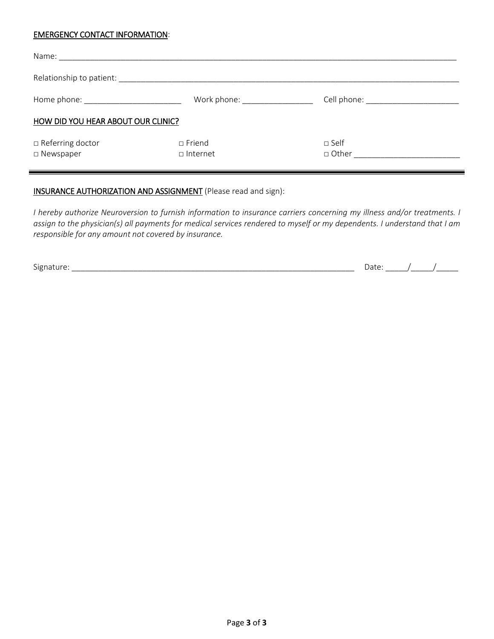### EMERGENCY CONTACT INFORMATION:

| Home phone: the contract of the contract of the contract of the contract of the contract of the contract of the contract of the contract of the contract of the contract of the contract of the contract of the contract of th | Work phone: North More and More and More and More and More and More and More and More and More and More and Mo | Cell phone: _________________________ |  |  |  |  |  |  |  |
|--------------------------------------------------------------------------------------------------------------------------------------------------------------------------------------------------------------------------------|----------------------------------------------------------------------------------------------------------------|---------------------------------------|--|--|--|--|--|--|--|
| HOW DID YOU HEAR ABOUT OUR CLINIC?                                                                                                                                                                                             |                                                                                                                |                                       |  |  |  |  |  |  |  |
| $\Box$ Referring doctor<br>□ Newspaper                                                                                                                                                                                         | $\Box$ Friend<br>$\Box$ Internet                                                                               | $\sqcap$ Self<br>□ Other              |  |  |  |  |  |  |  |

# INSURANCE AUTHORIZATION AND ASSIGNMENT (Please read and sign):

*I hereby authorize Neuroversion to furnish information to insurance carriers concerning my illness and/or treatments. I assign to the physician(s) all payments for medical services rendered to myself or my dependents. I understand that I am responsible for any amount not covered by insurance.* 

Signature: \_\_\_\_\_\_\_\_\_\_\_\_\_\_\_\_\_\_\_\_\_\_\_\_\_\_\_\_\_\_\_\_\_\_\_\_\_\_\_\_\_\_\_\_\_\_\_\_\_\_\_\_\_\_\_\_\_\_\_\_\_\_\_\_ Date: \_\_\_\_\_/\_\_\_\_\_/\_\_\_\_\_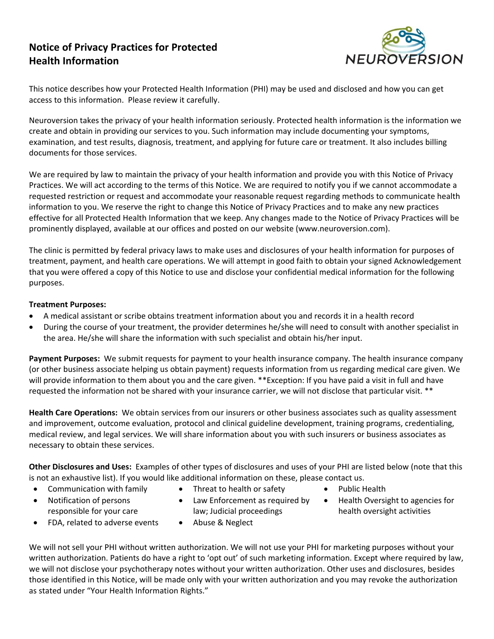# **Notice of Privacy Practices for Protected Health Information**



This notice describes how your Protected Health Information (PHI) may be used and disclosed and how you can get access to this information. Please review it carefully.

Neuroversion takes the privacy of your health information seriously. Protected health information is the information we create and obtain in providing our services to you. Such information may include documenting your symptoms, examination, and test results, diagnosis, treatment, and applying for future care or treatment. It also includes billing documents for those services.

We are required by law to maintain the privacy of your health information and provide you with this Notice of Privacy Practices. We will act according to the terms of this Notice. We are required to notify you if we cannot accommodate a requested restriction or request and accommodate your reasonable request regarding methods to communicate health information to you. We reserve the right to change this Notice of Privacy Practices and to make any new practices effective for all Protected Health Information that we keep. Any changes made to the Notice of Privacy Practices will be prominently displayed, available at our offices and posted on our website (www.neuroversion.com).

The clinic is permitted by federal privacy laws to make uses and disclosures of your health information for purposes of treatment, payment, and health care operations. We will attempt in good faith to obtain your signed Acknowledgement that you were offered a copy of this Notice to use and disclose your confidential medical information for the following purposes.

# **Treatment Purposes:**

- A medical assistant or scribe obtains treatment information about you and records it in a health record
- During the course of your treatment, the provider determines he/she will need to consult with another specialist in the area. He/she will share the information with such specialist and obtain his/her input.

Payment Purposes: We submit requests for payment to your health insurance company. The health insurance company (or other business associate helping us obtain payment) requests information from us regarding medical care given. We will provide information to them about you and the care given. \*\*Exception: If you have paid a visit in full and have requested the information not be shared with your insurance carrier, we will not disclose that particular visit. \*\*

**Health Care Operations:** We obtain services from our insurers or other business associates such as quality assessment and improvement, outcome evaluation, protocol and clinical guideline development, training programs, credentialing, medical review, and legal services. We will share information about you with such insurers or business associates as necessary to obtain these services.

**Other Disclosures and Uses:** Examples of other types of disclosures and uses of your PHI are listed below (note that this is not an exhaustive list). If you would like additional information on these, please contact us.

- Communication with family
- Threat to health or safety
- Notification of persons responsible for your care
- Law Enforcement as required by

law; Judicial proceedings

- Public Health
- Health Oversight to agencies for health oversight activities
- FDA, related to adverse events
- Abuse & Neglect

We will not sell your PHI without written authorization. We will not use your PHI for marketing purposes without your written authorization. Patients do have a right to 'opt out' of such marketing information. Except where required by law, we will not disclose your psychotherapy notes without your written authorization. Other uses and disclosures, besides those identified in this Notice, will be made only with your written authorization and you may revoke the authorization as stated under "Your Health Information Rights."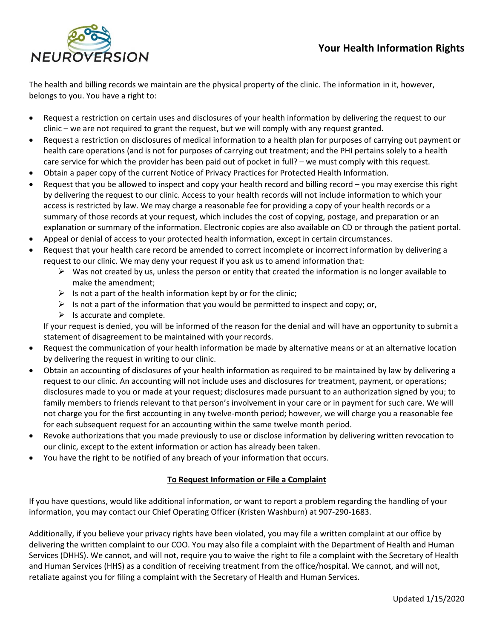

The health and billing records we maintain are the physical property of the clinic. The information in it, however, belongs to you. You have a right to:

- Request a restriction on certain uses and disclosures of your health information by delivering the request to our clinic – we are not required to grant the request, but we will comply with any request granted.
- Request a restriction on disclosures of medical information to a health plan for purposes of carrying out payment or health care operations (and is not for purposes of carrying out treatment; and the PHI pertains solely to a health care service for which the provider has been paid out of pocket in full? – we must comply with this request.
- Obtain a paper copy of the current Notice of Privacy Practices for Protected Health Information.
- Request that you be allowed to inspect and copy your health record and billing record you may exercise this right by delivering the request to our clinic. Access to your health records will not include information to which your access is restricted by law. We may charge a reasonable fee for providing a copy of your health records or a summary of those records at your request, which includes the cost of copying, postage, and preparation or an explanation or summary of the information. Electronic copies are also available on CD or through the patient portal.
- Appeal or denial of access to your protected health information, except in certain circumstances.
- Request that your health care record be amended to correct incomplete or incorrect information by delivering a request to our clinic. We may deny your request if you ask us to amend information that:
	- $\triangleright$  Was not created by us, unless the person or entity that created the information is no longer available to make the amendment;
	- $\triangleright$  Is not a part of the health information kept by or for the clinic;
	- $\triangleright$  Is not a part of the information that you would be permitted to inspect and copy; or,
	- $\triangleright$  Is accurate and complete.

If your request is denied, you will be informed of the reason for the denial and will have an opportunity to submit a statement of disagreement to be maintained with your records.

- Request the communication of your health information be made by alternative means or at an alternative location by delivering the request in writing to our clinic.
- Obtain an accounting of disclosures of your health information as required to be maintained by law by delivering a request to our clinic. An accounting will not include uses and disclosures for treatment, payment, or operations; disclosures made to you or made at your request; disclosures made pursuant to an authorization signed by you; to family members to friends relevant to that person's involvement in your care or in payment for such care. We will not charge you for the first accounting in any twelve‐month period; however, we will charge you a reasonable fee for each subsequent request for an accounting within the same twelve month period.
- Revoke authorizations that you made previously to use or disclose information by delivering written revocation to our clinic, except to the extent information or action has already been taken.
- You have the right to be notified of any breach of your information that occurs.

# **To Request Information or File a Complaint**

If you have questions, would like additional information, or want to report a problem regarding the handling of your information, you may contact our Chief Operating Officer (Kristen Washburn) at 907‐290‐1683.

Additionally, if you believe your privacy rights have been violated, you may file a written complaint at our office by delivering the written complaint to our COO. You may also file a complaint with the Department of Health and Human Services (DHHS). We cannot, and will not, require you to waive the right to file a complaint with the Secretary of Health and Human Services (HHS) as a condition of receiving treatment from the office/hospital. We cannot, and will not, retaliate against you for filing a complaint with the Secretary of Health and Human Services.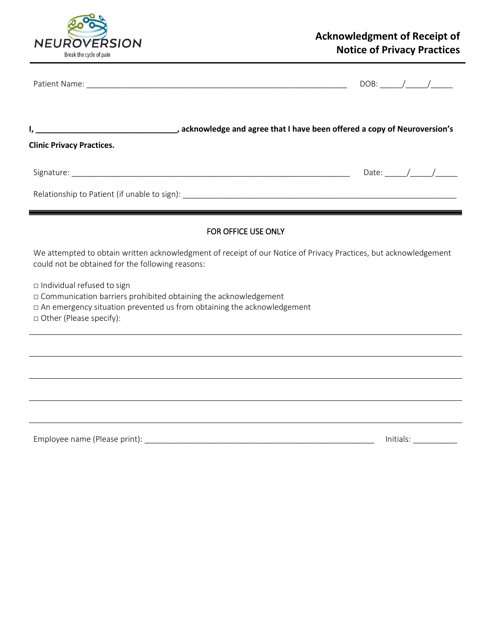

|                                                                                                                                                                                                            |                                                                                  |                     | $DOB:$ / / |                                                                                                                                                                                                                                                                                                                                                                                                                          |
|------------------------------------------------------------------------------------------------------------------------------------------------------------------------------------------------------------|----------------------------------------------------------------------------------|---------------------|------------|--------------------------------------------------------------------------------------------------------------------------------------------------------------------------------------------------------------------------------------------------------------------------------------------------------------------------------------------------------------------------------------------------------------------------|
| acknowledge and agree that I have been offered a copy of Neuroversion's (2008). The section of the set of the t<br><b>Clinic Privacy Practices.</b>                                                        |                                                                                  |                     |            |                                                                                                                                                                                                                                                                                                                                                                                                                          |
|                                                                                                                                                                                                            |                                                                                  |                     |            | Date: $\frac{1}{\sqrt{1-\frac{1}{2}}}\frac{1}{\sqrt{1-\frac{1}{2}}}\frac{1}{\sqrt{1-\frac{1}{2}}}\frac{1}{\sqrt{1-\frac{1}{2}}}\frac{1}{\sqrt{1-\frac{1}{2}}}\frac{1}{\sqrt{1-\frac{1}{2}}}\frac{1}{\sqrt{1-\frac{1}{2}}}\frac{1}{\sqrt{1-\frac{1}{2}}}\frac{1}{\sqrt{1-\frac{1}{2}}}\frac{1}{\sqrt{1-\frac{1}{2}}}\frac{1}{\sqrt{1-\frac{1}{2}}}\frac{1}{\sqrt{1-\frac{1}{2}}}\frac{1}{\sqrt{1-\frac{1}{2}}}\frac{1}{\$ |
|                                                                                                                                                                                                            |                                                                                  |                     |            |                                                                                                                                                                                                                                                                                                                                                                                                                          |
|                                                                                                                                                                                                            |                                                                                  | FOR OFFICE USE ONLY |            |                                                                                                                                                                                                                                                                                                                                                                                                                          |
| We attempted to obtain written acknowledgment of receipt of our Notice of Privacy Practices, but acknowledgement<br>could not be obtained for the following reasons:                                       |                                                                                  |                     |            |                                                                                                                                                                                                                                                                                                                                                                                                                          |
| □ Individual refused to sign<br>□ Communication barriers prohibited obtaining the acknowledgement<br>□ An emergency situation prevented us from obtaining the acknowledgement<br>□ Other (Please specify): |                                                                                  |                     |            |                                                                                                                                                                                                                                                                                                                                                                                                                          |
|                                                                                                                                                                                                            | ,我们也不会有什么。""我们的人,我们也不会有什么?""我们的人,我们也不会有什么?""我们的人,我们也不会有什么?""我们的人,我们也不会有什么?""我们的人 |                     |            |                                                                                                                                                                                                                                                                                                                                                                                                                          |
|                                                                                                                                                                                                            |                                                                                  |                     |            |                                                                                                                                                                                                                                                                                                                                                                                                                          |
|                                                                                                                                                                                                            |                                                                                  |                     |            |                                                                                                                                                                                                                                                                                                                                                                                                                          |
|                                                                                                                                                                                                            |                                                                                  |                     |            | Initials: <u>Analysia and a stationar</u>                                                                                                                                                                                                                                                                                                                                                                                |
|                                                                                                                                                                                                            |                                                                                  |                     |            |                                                                                                                                                                                                                                                                                                                                                                                                                          |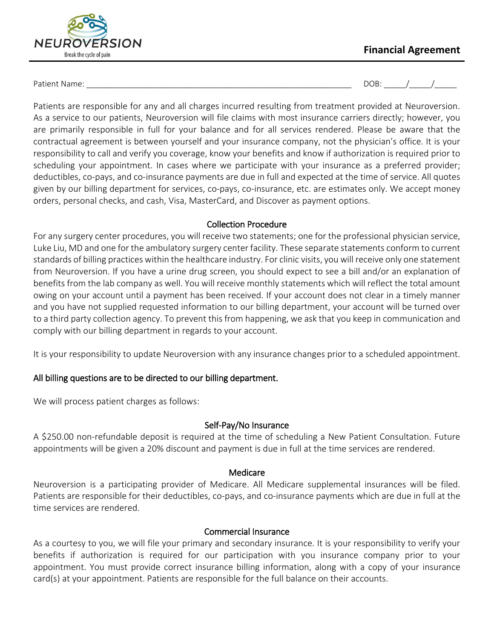

# **Financial Agreement**

Patient Name: \_\_\_\_\_\_\_\_\_\_\_\_\_\_\_\_\_\_\_\_\_\_\_\_\_\_\_\_\_\_\_\_\_\_\_\_\_\_\_\_\_\_\_\_\_\_\_\_\_\_\_\_\_\_\_\_\_\_\_\_ DOB: \_\_\_\_\_/\_\_\_\_\_/\_\_\_\_\_

Patients are responsible for any and all charges incurred resulting from treatment provided at Neuroversion. As a service to our patients, Neuroversion will file claims with most insurance carriers directly; however, you are primarily responsible in full for your balance and for all services rendered. Please be aware that the contractual agreement is between yourself and your insurance company, not the physician's office. It is your responsibility to call and verify you coverage, know your benefits and know if authorization is required prior to scheduling your appointment. In cases where we participate with your insurance as a preferred provider; deductibles, co-pays, and co-insurance payments are due in full and expected at the time of service. All quotes given by our billing department for services, co-pays, co-insurance, etc. are estimates only. We accept money orders, personal checks, and cash, Visa, MasterCard, and Discover as payment options.

# Collection Procedure

For any surgery center procedures, you will receive two statements; one for the professional physician service, Luke Liu, MD and one for the ambulatory surgery center facility. These separate statements conform to current standards of billing practices within the healthcare industry. For clinic visits, you will receive only one statement from Neuroversion. If you have a urine drug screen, you should expect to see a bill and/or an explanation of benefits from the lab company as well. You will receive monthly statements which will reflect the total amount owing on your account until a payment has been received. If your account does not clear in a timely manner and you have not supplied requested information to our billing department, your account will be turned over to a third party collection agency. To prevent this from happening, we ask that you keep in communication and comply with our billing department in regards to your account.

It is your responsibility to update Neuroversion with any insurance changes prior to a scheduled appointment.

# All billing questions are to be directed to our billing department.

We will process patient charges as follows:

# Self-Pay/No Insurance

A \$250.00 non-refundable deposit is required at the time of scheduling a New Patient Consultation. Future appointments will be given a 20% discount and payment is due in full at the time services are rendered.

# Medicare

Neuroversion is a participating provider of Medicare. All Medicare supplemental insurances will be filed. Patients are responsible for their deductibles, co-pays, and co-insurance payments which are due in full at the time services are rendered.

# Commercial Insurance

As a courtesy to you, we will file your primary and secondary insurance. It is your responsibility to verify your benefits if authorization is required for our participation with you insurance company prior to your appointment. You must provide correct insurance billing information, along with a copy of your insurance card(s) at your appointment. Patients are responsible for the full balance on their accounts.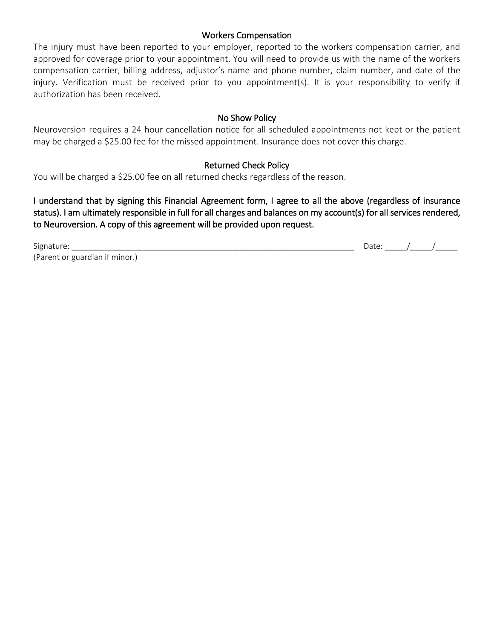# Workers Compensation

The injury must have been reported to your employer, reported to the workers compensation carrier, and approved for coverage prior to your appointment. You will need to provide us with the name of the workers compensation carrier, billing address, adjustor's name and phone number, claim number, and date of the injury. Verification must be received prior to you appointment(s). It is your responsibility to verify if authorization has been received.

# No Show Policy

Neuroversion requires a 24 hour cancellation notice for all scheduled appointments not kept or the patient may be charged a \$25.00 fee for the missed appointment. Insurance does not cover this charge.

# Returned Check Policy

You will be charged a \$25.00 fee on all returned checks regardless of the reason.

I understand that by signing this Financial Agreement form, I agree to all the above (regardless of insurance status). I am ultimately responsible in full for all charges and balances on my account(s) for all services rendered, to Neuroversion. A copy of this agreement will be provided upon request.

Signature: (Parent or guardian if minor.) Date: \_\_\_\_\_\_\_/\_\_\_\_\_\_\_\_/\_\_\_\_\_\_\_\_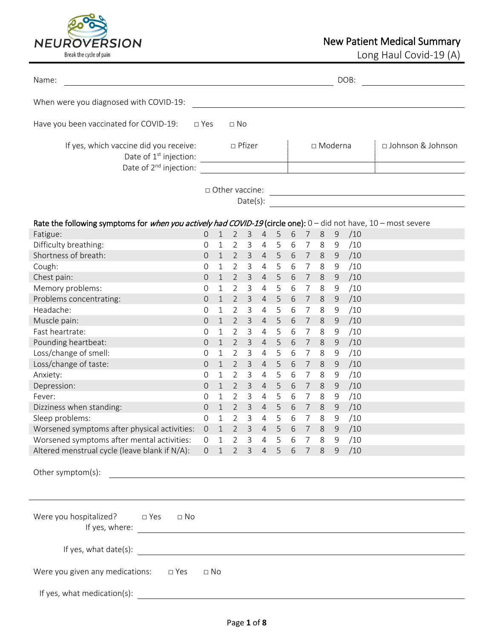

Long Haul Covid-19 (A)

| Name:                                                                                                                                           |                |                             |                |                |                |                |                  |                 |                |               | DOB: |                     |  |
|-------------------------------------------------------------------------------------------------------------------------------------------------|----------------|-----------------------------|----------------|----------------|----------------|----------------|------------------|-----------------|----------------|---------------|------|---------------------|--|
| When were you diagnosed with COVID-19:                                                                                                          |                |                             |                |                |                |                |                  |                 |                |               |      |                     |  |
| Have you been vaccinated for COVID-19:                                                                                                          | $\square$ Yes  |                             | $\Box$ No      |                |                |                |                  |                 |                |               |      |                     |  |
| If yes, which vaccine did you receive:<br>Date of 1 <sup>st</sup> injection:<br>Date of 2 <sup>nd</sup> injection:                              |                |                             |                | □ Pfizer       |                |                |                  |                 | $\Box$ Moderna |               |      | □ Johnson & Johnson |  |
|                                                                                                                                                 |                | $\Box$ Other vaccine:       |                | Date(s):       |                |                |                  |                 |                |               |      |                     |  |
| Rate the following symptoms for <i>when you actively had COVID-19</i> (circle one): $0 -$ did not have, $10 -$ most severe                      |                |                             |                |                |                |                |                  |                 |                |               |      |                     |  |
| Fatigue:                                                                                                                                        | 0              | $\mathbf{1}$                | $\overline{2}$ | 3              | $\overline{4}$ | 5              | 6                | $\overline{7}$  | 8              | 9             | /10  |                     |  |
| Difficulty breathing:                                                                                                                           | 0              | 1                           | 2              | 3              | 4              | 5              | 6                | 7               | 8              | 9             | /10  |                     |  |
| Shortness of breath:                                                                                                                            | 0              | $\mathbf{1}$                | $\overline{2}$ | 3              | $\overline{4}$ | 5              | 6                | $\overline{7}$  | 8              | 9             | /10  |                     |  |
| Cough:                                                                                                                                          | 0              | 1                           | $\overline{2}$ | 3              | 4              | 5              | 6                | 7               | 8              | 9             | /10  |                     |  |
| Chest pain:                                                                                                                                     | $\Omega$       | $\mathbf{1}$                | $\overline{2}$ | 3              | $\overline{4}$ | 5              | 6                | 7               | 8              | 9             | /10  |                     |  |
| Memory problems:                                                                                                                                | 0              | 1                           | 2              | 3              | 4              | 5              | 6                | 7               | 8              | $9\,$         | /10  |                     |  |
| Problems concentrating:                                                                                                                         | 0              | $\mathbf{1}$                | $\overline{2}$ | 3              | $\overline{4}$ | 5              | 6                | $\overline{7}$  | 8              | 9             | /10  |                     |  |
| Headache:                                                                                                                                       | 0              | 1                           | $\overline{2}$ | 3              | 4              | 5              | 6                | 7               | 8              | 9             | /10  |                     |  |
| Muscle pain:                                                                                                                                    | $\overline{0}$ | $\mathbf{1}$                | $\overline{2}$ | 3              | $\overline{4}$ | 5              | 6                | 7               | $8\,$          | 9             | /10  |                     |  |
| Fast heartrate:                                                                                                                                 | 0              | 1                           | $\overline{2}$ | 3              | 4              | 5              | 6                | 7               | 8              | $9\,$         | /10  |                     |  |
| Pounding heartbeat:                                                                                                                             | 0              | 1                           | $\overline{2}$ | 3              | 4              | 5              | 6                | 7               | 8              | 9             | /10  |                     |  |
| Loss/change of smell:                                                                                                                           | 0              | $\mathbf{1}$                | 2              | 3              | 4              | 5              | 6                | 7               | 8              | 9             | /10  |                     |  |
| Loss/change of taste:                                                                                                                           | 0              | $\mathbf{1}$                | $\overline{2}$ | 3              | $\overline{4}$ | 5              | 6                | 7               | 8              | 9             | /10  |                     |  |
| Anxiety:                                                                                                                                        | 0              | 1                           | $\overline{2}$ | 3              | 4              | 5              | 6                | 7               | 8              | $9\,$         | /10  |                     |  |
| Depression:                                                                                                                                     | $\overline{0}$ | $\mathbf{1}$                | $\overline{2}$ | 3              | $\overline{4}$ | 5              | 6                | 7               | 8              | $\mathcal{G}$ | /10  |                     |  |
| Fever:                                                                                                                                          | 0              | $\mathbf{1}$                | 2              | 3              | 4              | 5              | 6                | 7               | 8              | 9             | /10  |                     |  |
| Dizziness when standing:                                                                                                                        | 0              | $\mathbf 1$                 | $\overline{2}$ | 3              | $\overline{4}$ | 5              | 6                | $\overline{7}$  | 8              | 9             | /10  |                     |  |
| Sleep problems:                                                                                                                                 | 0              | 1                           | $\overline{2}$ | 3              | 4              | 5              | 6                | 7               | 8              | 9             | /10  |                     |  |
| Worsened symptoms after physical activities:                                                                                                    | $\mathbf 0$    |                             | $\overline{2}$ | $\mathsf{3}$   | $\overline{4}$ | 5 <sub>1</sub> |                  | 7 <sup>7</sup>  | $\,8\,$        | $\mathsf 9$   | /10  |                     |  |
| Worsened symptoms after mental activities:                                                                                                      | $\overline{0}$ | $\mathbf 1$<br>$\mathbf{1}$ | $\overline{2}$ | 3              | 4              | 5 <sup>5</sup> | $\,$ 6 $\,$<br>6 | $7\overline{ }$ | 8              | 9             | /10  |                     |  |
| Altered menstrual cycle (leave blank if N/A):                                                                                                   | $\overline{0}$ | 1                           | $2^{\circ}$    | 3 <sup>7</sup> |                | $4\quad 5$     | 6                | 7 8             |                | 9             | /10  |                     |  |
|                                                                                                                                                 |                |                             |                |                |                |                |                  |                 |                |               |      |                     |  |
| Other symptom(s):<br><u> 1980 - Jan Samuel Barbara, margaret e populari e populari e populari e populari e populari e populari e popu</u>       |                |                             |                |                |                |                |                  |                 |                |               |      |                     |  |
|                                                                                                                                                 |                |                             |                |                |                |                |                  |                 |                |               |      |                     |  |
|                                                                                                                                                 |                |                             |                |                |                |                |                  |                 |                |               |      |                     |  |
| Were you hospitalized? $\square$ Yes<br>$\Box$ No                                                                                               |                |                             |                |                |                |                |                  |                 |                |               |      |                     |  |
| <u> 1989 - Johann Stoff, deutscher Stoffen und der Stoffen und der Stoffen und der Stoffen und der Stoffen und der</u><br>If yes, what date(s): |                |                             |                |                |                |                |                  |                 |                |               |      |                     |  |
| Were you given any medications:<br>$\square$ Yes                                                                                                | $\Box$ No      |                             |                |                |                |                |                  |                 |                |               |      |                     |  |
| If yes, what medication(s):                                                                                                                     |                |                             |                |                |                |                |                  |                 |                |               |      |                     |  |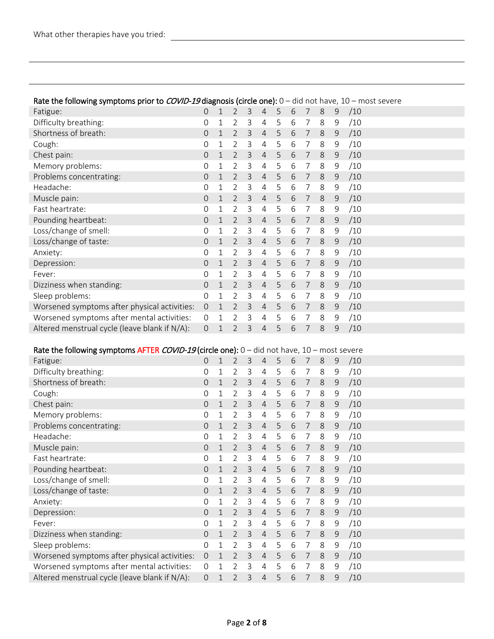| Rate the following symptoms prior to COVID-19 diagnosis (circle one): $0 -$ did not have, $10 -$ most severe |                     |              |                |   |                |   |   |                |         |               |     |
|--------------------------------------------------------------------------------------------------------------|---------------------|--------------|----------------|---|----------------|---|---|----------------|---------|---------------|-----|
| Fatigue:                                                                                                     | $\overline{O}$      | $\mathbf{1}$ | $\overline{2}$ | 3 | 4              | 5 | 6 | 7              | $8\,$   | 9             | /10 |
| Difficulty breathing:                                                                                        | 0                   | $\mathbf 1$  | $\overline{2}$ | 3 | 4              | 5 | 6 | 7              | 8       | 9             | /10 |
| Shortness of breath:                                                                                         | 0                   | $\mathbf 1$  | $\overline{2}$ | 3 | 4              | 5 | 6 | $\overline{7}$ | 8       | $\mathcal{G}$ | /10 |
| Cough:                                                                                                       | 0                   | $\mathbf 1$  | $\overline{2}$ | 3 | 4              | 5 | 6 | 7              | 8       | 9             | /10 |
| Chest pain:                                                                                                  | 0                   | $\mathbf 1$  | $\overline{2}$ | 3 | 4              | 5 | 6 | $\overline{7}$ | 8       | 9             | /10 |
| Memory problems:                                                                                             | 0                   | 1            | $\overline{2}$ | 3 | 4              | 5 | 6 | 7              | 8       | 9             | /10 |
| Problems concentrating:                                                                                      | 0                   | $\mathbf 1$  | $\overline{2}$ | 3 | 4              | 5 | 6 | $\overline{7}$ | 8       | $\mathcal{G}$ | /10 |
| Headache:                                                                                                    | 0                   | 1            | $\overline{2}$ | 3 | 4              | 5 | 6 | 7              | 8       | 9             | /10 |
| Muscle pain:                                                                                                 | 0                   | $\mathbf 1$  | $\overline{2}$ | 3 | 4              | 5 | 6 | $\overline{7}$ | 8       | 9             | /10 |
| Fast heartrate:                                                                                              | 0                   | 1            | $\overline{2}$ | 3 | 4              | 5 | 6 | 7              | 8       | 9             | /10 |
| Pounding heartbeat:                                                                                          | 0                   | $\mathbf 1$  | $\overline{2}$ | 3 | 4              | 5 | 6 | $\overline{7}$ | 8       | $\mathcal{G}$ | /10 |
| Loss/change of smell:                                                                                        | 0                   | 1            | $\overline{2}$ | 3 | 4              | 5 | 6 | 7              | 8       | 9             | /10 |
| Loss/change of taste:                                                                                        | 0                   | $\mathbf 1$  | $\overline{2}$ | 3 | 4              | 5 | 6 | $\overline{7}$ | 8       | 9             | /10 |
| Anxiety:                                                                                                     | 0                   | 1            | $\overline{2}$ | 3 | 4              | 5 | 6 | 7              | 8       | 9             | /10 |
| Depression:                                                                                                  | 0                   | 1            | $\overline{2}$ | 3 | $\overline{4}$ | 5 | 6 | 7              | 8       | $\mathcal{G}$ | /10 |
| Fever:                                                                                                       | 0                   | 1            | $\overline{2}$ | 3 | 4              | 5 | 6 | 7              | 8       | 9             | /10 |
| Dizziness when standing:                                                                                     | 0                   | $\mathbf 1$  | $\overline{2}$ | 3 | $\overline{4}$ | 5 | 6 | 7              | 8       | 9             | /10 |
| Sleep problems:                                                                                              | 0                   | 1            | $\overline{2}$ | 3 | 4              | 5 | 6 | 7              | 8       | 9             | /10 |
| Worsened symptoms after physical activities:                                                                 | $\mathsf{O}\xspace$ | $\mathbf 1$  | $\overline{2}$ | 3 | 4              | 5 | 6 | 7              | 8       | 9             | /10 |
| Worsened symptoms after mental activities:                                                                   | $\mathsf{O}\xspace$ | 1            | 2              | 3 | 4              | 5 | 6 | 7              | 8       | 9             | /10 |
| Altered menstrual cycle (leave blank if N/A):                                                                | 0                   | $\mathbf{1}$ | $\overline{2}$ | 3 | $\overline{4}$ | 5 | 6 | 7              | 8       | 9             | /10 |
|                                                                                                              |                     |              |                |   |                |   |   |                |         |               |     |
| Rate the following symptoms AFTER COVID-19 (circle one): $0 -$ did not have, $10 -$ most severe              |                     |              |                |   |                |   |   |                |         |               |     |
| Fatigue:                                                                                                     | 0                   | $\mathbf 1$  | $\overline{2}$ | 3 | $\overline{4}$ | 5 | 6 | 7              | 8       | 9             | /10 |
| Difficulty breathing:                                                                                        | 0                   | 1            | $\overline{2}$ | 3 | 4              | 5 | 6 | 7              | 8       | 9             | /10 |
| Shortness of breath:                                                                                         | 0                   | 1            | $\overline{2}$ | 3 | 4              | 5 | 6 | $\overline{7}$ | 8       | 9             | /10 |
| Cough:                                                                                                       | 0                   | 1            | $\overline{2}$ | 3 | 4              | 5 | 6 | 7              | 8       | 9             | /10 |
| Chest pain:                                                                                                  | 0                   | $\mathbf 1$  | $\overline{2}$ | 3 | 4              | 5 | 6 | $\overline{7}$ | 8       | $\mathcal{G}$ | /10 |
| Memory problems:                                                                                             | 0                   | 1            | $\overline{2}$ | 3 | 4              | 5 | 6 | 7              | 8       | 9             | /10 |
| Problems concentrating:                                                                                      | 0                   | 1            | $\overline{2}$ | 3 | 4              | 5 | 6 | $\overline{7}$ | 8       | 9             | /10 |
| Headache:                                                                                                    | 0                   | 1            | $\overline{2}$ | 3 | 4              | 5 | 6 | 7              | 8       | 9             | /10 |
| Muscle pain:                                                                                                 | 0                   | $\mathbf{1}$ | $\overline{2}$ | 3 | $\overline{4}$ | 5 | 6 | $\overline{7}$ | 8       | $\mathcal{G}$ | /10 |
| Fast heartrate:                                                                                              | 0                   | $1\,$        | $\overline{2}$ | 3 | 4              | 5 | 6 | $\overline{7}$ | 8       | 9             | /10 |
| Pounding heartbeat:                                                                                          | 0                   | $\mathbf{1}$ | $\overline{2}$ | 3 | $\overline{4}$ | 5 | 6 | $\overline{7}$ | $\,8\,$ | 9             | /10 |
| Loss/change of smell:                                                                                        | $\mathsf{O}\xspace$ | $\mathbf{1}$ | $\overline{2}$ | 3 | $\overline{4}$ | 5 | 6 | $\overline{7}$ | 8       | 9             | /10 |
| Loss/change of taste:                                                                                        | 0                   | $\mathbf{1}$ | $\overline{2}$ | 3 | $\overline{4}$ | 5 | 6 | $\overline{7}$ | $\,8$   | $\mathsf 9$   | /10 |
| Anxiety:                                                                                                     | 0                   | 1            | $\overline{2}$ | 3 | 4              | 5 | 6 | 7              | 8       | 9             | /10 |
| Depression:                                                                                                  | 0                   | 1            | $\overline{2}$ | 3 | $\overline{4}$ | 5 | 6 | $\overline{7}$ | $8\,$   | $9$           | /10 |
| Fever:                                                                                                       | 0                   | 1            | $\overline{2}$ | 3 | 4              | 5 | 6 | 7              | 8       | 9             | /10 |
| Dizziness when standing:                                                                                     | 0                   | $\mathbf{1}$ | $\overline{2}$ | 3 | $\overline{4}$ | 5 | 6 | $\overline{7}$ | $\,8$   | $\mathsf 9$   | /10 |
| Sleep problems:                                                                                              | 0                   | 1            | 2              | 3 | 4              | 5 | 6 | 7              | 8       | 9             | /10 |
| Worsened symptoms after physical activities:                                                                 | $\boldsymbol{0}$    | $\mathbf{1}$ | $\overline{2}$ | 3 | $\overline{4}$ | 5 | 6 | $\overline{7}$ | $\,8\,$ | $\mathsf 9$   | /10 |
| Worsened symptoms after mental activities:                                                                   | $\mathbf 0$         | 1            | $\overline{2}$ | 3 | 4              | 5 | 6 | 7              | 8       | 9             | /10 |
| Altered menstrual cycle (leave blank if N/A):                                                                | $\mathsf{O}\xspace$ | $\mathbf 1$  | $\overline{2}$ | 3 | $\overline{4}$ | 5 | 6 | 7              | $\,8$   | $\mathsf 9$   | /10 |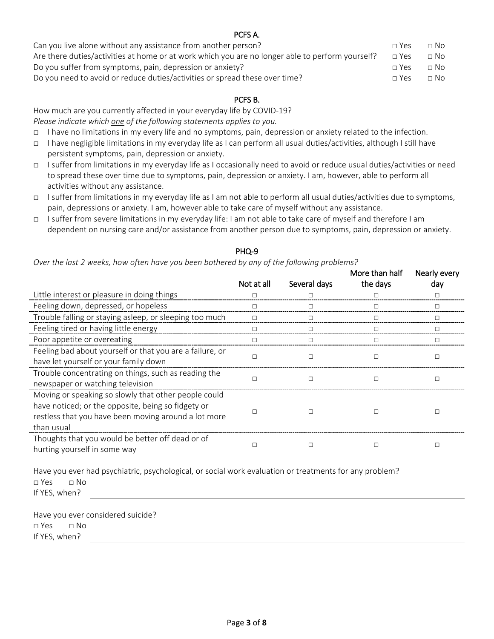| PCFS A.                                                                                          |            |           |  |
|--------------------------------------------------------------------------------------------------|------------|-----------|--|
| Can you live alone without any assistance from another person?                                   | $\Box$ Yes | $\Box$ No |  |
| Are there duties/activities at home or at work which you are no longer able to perform yourself? | $\Box$ Yes | $\Box$ No |  |
| Do you suffer from symptoms, pain, depression or anxiety?                                        | $\Box$ Yes | $\Box$ No |  |
| Do you need to avoid or reduce duties/activities or spread these over time?                      | $\Box$ Yes | $\Box$ No |  |

# PCFS B.

How much are you currently affected in your everyday life by COVID-19? *Please indicate which one of the following statements applies to you.*

- □ I have no limitations in my every life and no symptoms, pain, depression or anxiety related to the infection.
- □ I have negligible limitations in my everyday life as I can perform all usual duties/activities, although I still have persistent symptoms, pain, depression or anxiety.
- □ I suffer from limitations in my everyday life as I occasionally need to avoid or reduce usual duties/activities or need to spread these over time due to symptoms, pain, depression or anxiety. I am, however, able to perform all activities without any assistance.
- □ I suffer from limitations in my everyday life as I am not able to perform all usual duties/activities due to symptoms, pain, depressions or anxiety. I am, however able to take care of myself without any assistance.
- □ I suffer from severe limitations in my everyday life: I am not able to take care of myself and therefore I am dependent on nursing care and/or assistance from another person due to symptoms, pain, depression or anxiety.

|                                                                                                                                                                                  | Not at all | Several days | More than half<br>the days | Nearly every<br>day |
|----------------------------------------------------------------------------------------------------------------------------------------------------------------------------------|------------|--------------|----------------------------|---------------------|
| Little interest or pleasure in doing things                                                                                                                                      |            |              |                            |                     |
| Feeling down, depressed, or hopeless                                                                                                                                             |            |              |                            |                     |
| Trouble falling or staying asleep, or sleeping too much                                                                                                                          |            |              |                            |                     |
| Feeling tired or having little energy                                                                                                                                            | П          | П            |                            |                     |
| Poor appetite or overeating                                                                                                                                                      |            |              |                            |                     |
| Feeling bad about yourself or that you are a failure, or<br>have let yourself or your family down                                                                                |            | П            |                            | П                   |
| Trouble concentrating on things, such as reading the<br>newspaper or watching television                                                                                         |            | П            |                            |                     |
| Moving or speaking so slowly that other people could<br>have noticed; or the opposite, being so fidgety or<br>restless that you have been moving around a lot more<br>than usual |            |              |                            |                     |
| Thoughts that you would be better off dead or of<br>hurting yourself in some way                                                                                                 |            |              |                            |                     |

# PHQ-9

*Over the last 2 weeks, how often have you been bothered by any of the following problems?*

Have you ever had psychiatric, psychological, or social work evaluation or treatments for any problem? □ Yes □ No If YES, when?

Have you ever considered suicide? □ Yes □ No If YES, when?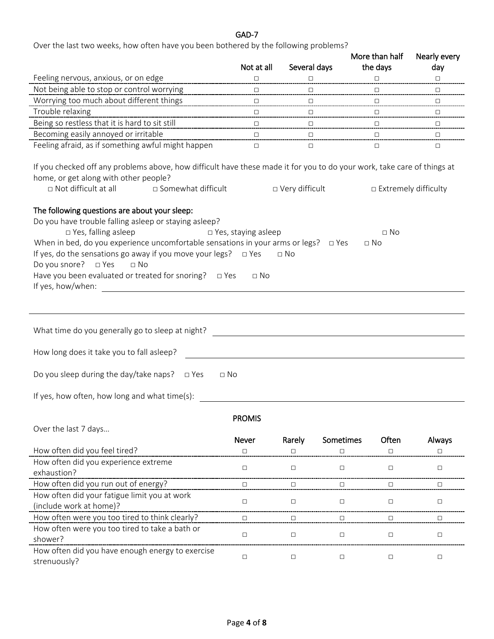# GAD-7

Over the last two weeks, how often have you been bothered by the following problems?

|                                                                                                                                                                                                                    |                            |                  |                               | More than half                         | Nearly every           |
|--------------------------------------------------------------------------------------------------------------------------------------------------------------------------------------------------------------------|----------------------------|------------------|-------------------------------|----------------------------------------|------------------------|
|                                                                                                                                                                                                                    | Not at all                 | Several days     |                               | the days                               | day                    |
| Feeling nervous, anxious, or on edge<br>Not being able to stop or control worrying                                                                                                                                 | $\Box$                     |                  |                               |                                        |                        |
| Worrying too much about different things                                                                                                                                                                           | $\Box$<br>$\Box$           | $\Box$           | ----------------------------- | $\Box$                                 | $\Box$                 |
| Trouble relaxing                                                                                                                                                                                                   |                            |                  |                               |                                        |                        |
| Being so restless that it is hard to sit still                                                                                                                                                                     | $\Box$<br>$\Box$           | $\Box$           |                               | ___<br>------------------------------- | $\Box$                 |
| Becoming easily annoyed or irritable                                                                                                                                                                               |                            |                  |                               |                                        | $\Box$                 |
| Feeling afraid, as if something awful might happen                                                                                                                                                                 | $\Box$                     | □……<br>$\Box$    |                               | $\Box$                                 | $\Box$<br>$\Box$       |
| If you checked off any problems above, how difficult have these made it for you to do your work, take care of things at<br>home, or get along with other people?<br>□ Not difficult at all<br>□ Somewhat difficult |                            | □ Very difficult |                               |                                        | □ Extremely difficulty |
|                                                                                                                                                                                                                    |                            |                  |                               |                                        |                        |
| The following questions are about your sleep:                                                                                                                                                                      |                            |                  |                               |                                        |                        |
| Do you have trouble falling asleep or staying asleep?                                                                                                                                                              |                            |                  |                               |                                        |                        |
| $\Box$ Yes, falling asleep                                                                                                                                                                                         | $\Box$ Yes, staying asleep |                  |                               | $\Box$ No                              |                        |
| When in bed, do you experience uncomfortable sensations in your arms or legs? $\Box$ Yes                                                                                                                           |                            |                  |                               | $\Box$ No                              |                        |
| If yes, do the sensations go away if you move your legs? $\Box$ Yes                                                                                                                                                |                            | $\Box$ No        |                               |                                        |                        |
| Do you snore? □ Yes<br>$\Box$ No                                                                                                                                                                                   |                            |                  |                               |                                        |                        |
| Have you been evaluated or treated for snoring? $\Box$ Yes                                                                                                                                                         | $\Box$ No                  |                  |                               |                                        |                        |
| If yes, how/when:                                                                                                                                                                                                  |                            |                  |                               |                                        |                        |
|                                                                                                                                                                                                                    |                            |                  |                               |                                        |                        |
|                                                                                                                                                                                                                    |                            |                  |                               |                                        |                        |
| What time do you generally go to sleep at night?                                                                                                                                                                   |                            |                  |                               |                                        |                        |
| How long does it take you to fall asleep?                                                                                                                                                                          |                            |                  |                               |                                        |                        |
| Do you sleep during the day/take naps? $\Box$ Yes                                                                                                                                                                  | $\Box$ No                  |                  |                               |                                        |                        |
| If yes, how often, how long and what time(s):                                                                                                                                                                      |                            |                  |                               |                                        |                        |
|                                                                                                                                                                                                                    | <b>PROMIS</b>              |                  |                               |                                        |                        |
| Over the last 7 days                                                                                                                                                                                               |                            |                  |                               |                                        |                        |
|                                                                                                                                                                                                                    | <b>Never</b>               | Rarely           | Sometimes                     | Often                                  | Always                 |
| How often did you feel tired?                                                                                                                                                                                      | $\Box$                     | $\Box$           | $\Box$                        | $\Box$                                 | П                      |
| How often did you experience extreme                                                                                                                                                                               |                            |                  |                               |                                        |                        |
| exhaustion?                                                                                                                                                                                                        | $\Box$                     | $\Box$           | $\Box$                        | $\Box$                                 | $\Box$                 |
| How often did you run out of energy?                                                                                                                                                                               | $\Box$                     | $\Box$           | $\Box$                        | $\Box$                                 | $\Box$                 |
| How often did your fatigue limit you at work                                                                                                                                                                       |                            |                  |                               |                                        |                        |
| (include work at home)?                                                                                                                                                                                            | $\Box$                     | $\Box$           | $\Box$                        | $\Box$                                 | $\Box$                 |
| How often were you too tired to think clearly?                                                                                                                                                                     | $\Box$                     | п                | □                             | п                                      | ◻                      |
| How often were you too tired to take a bath or                                                                                                                                                                     |                            |                  |                               |                                        |                        |
| shower?                                                                                                                                                                                                            | $\Box$                     | $\Box$           | $\Box$                        | $\Box$                                 | $\Box$                 |
| How often did you have enough energy to exercise<br>strenuously?                                                                                                                                                   | $\Box$                     | $\Box$           | $\Box$                        | $\Box$                                 | $\Box$                 |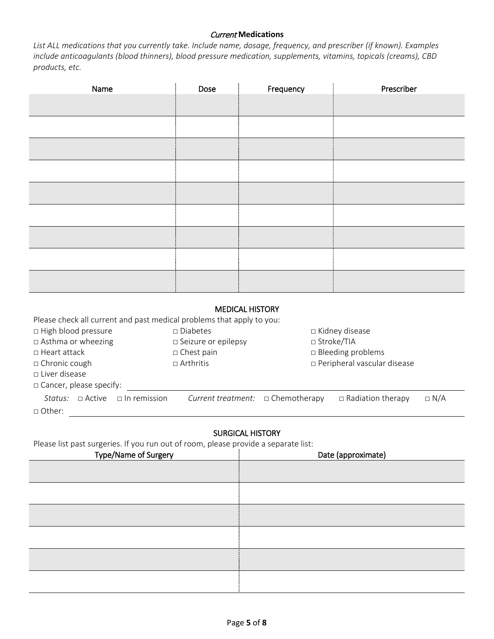### Current **Medications**

*List ALL medications that you currently take. Include name, dosage, frequency, and prescriber (if known). Examples include anticoagulants (blood thinners), blood pressure medication, supplements, vitamins, topicals (creams), CBD products, etc.*

| Name | Dose | Frequency | Prescriber |
|------|------|-----------|------------|
|      |      |           |            |
|      |      |           |            |
|      |      |           |            |
|      |      |           |            |
|      |      |           |            |
|      |      |           |            |
|      |      |           |            |
|      |      |           |            |
|      |      |           |            |

### MEDICAL HISTORY

Please check all current and past medical problems that apply to you:

□ High blood pressure □ Diabetes □ □ Kidney disease

□ Asthma or wheezing □ Seizure or epilepsy □ Stroke/TIA

□ Heart attack □ □ Chest pain □ □ □ Bleeding problems

□ Chronic cough □ □ Arthritis □ Peripheral vascular disease

□ Liver disease

□ Cancer, please specify:

|               |  |  | Status: $\Box$ Active $\Box$ In remission Current treatment: $\Box$ Chemotherapy $\Box$ Radiation therapy $\Box$ N/A |  |
|---------------|--|--|----------------------------------------------------------------------------------------------------------------------|--|
| $\Box$ Other: |  |  |                                                                                                                      |  |

# SURGICAL HISTORY

Please list past surgeries. If you run out of room, please provide a separate list:

| Type/Name of Surgery | Date (approximate) |
|----------------------|--------------------|
|                      |                    |
|                      |                    |
|                      |                    |
|                      |                    |
|                      |                    |
|                      |                    |
|                      |                    |
|                      |                    |
|                      |                    |
|                      |                    |
|                      |                    |
|                      |                    |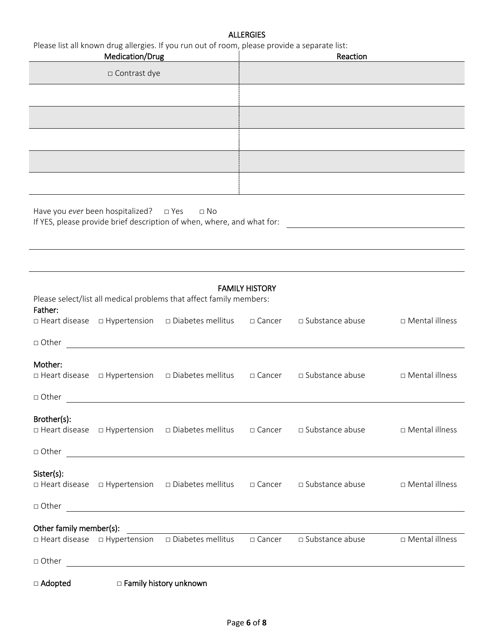# **ALLERGIES**

|             | Medication/Drug                          | Please list all known drug allergies. If you run out of room, please provide a separate list:     |                       | Reaction          |                  |
|-------------|------------------------------------------|---------------------------------------------------------------------------------------------------|-----------------------|-------------------|------------------|
|             | □ Contrast dye                           |                                                                                                   |                       |                   |                  |
|             |                                          |                                                                                                   |                       |                   |                  |
|             |                                          |                                                                                                   |                       |                   |                  |
|             |                                          |                                                                                                   |                       |                   |                  |
|             |                                          |                                                                                                   |                       |                   |                  |
|             |                                          |                                                                                                   |                       |                   |                  |
|             |                                          |                                                                                                   |                       |                   |                  |
|             | Have you ever been hospitalized?         | $\Box$ Yes<br>$\Box$ No<br>If YES, please provide brief description of when, where, and what for: |                       |                   |                  |
|             |                                          |                                                                                                   |                       |                   |                  |
|             |                                          | Please select/list all medical problems that affect family members:                               | <b>FAMILY HISTORY</b> |                   |                  |
| Father:     | $\Box$ Heart disease $\Box$ Hypertension | □ Diabetes mellitus                                                                               | □ Cancer              | □ Substance abuse | □ Mental illness |
| □ Other     |                                          |                                                                                                   |                       |                   |                  |
| Mother:     | □ Heart disease □ Hypertension           | $\square$ Diabetes mellitus                                                                       | □ Cancer              | □ Substance abuse | □ Mental illness |
| □ Other     |                                          |                                                                                                   |                       |                   |                  |
| Brother(s): |                                          | □ Heart disease □ Hypertension □ Diabetes mellitus                                                | □ Cancer              | □ Substance abuse | □ Mental illness |
| □ Other     |                                          | <u> 1989 - Johann Barn, fransk politik (d. 1989)</u>                                              |                       |                   |                  |
| Sister(s):  |                                          | □ Heart disease □ Hypertension □ Diabetes mellitus □ Cancer                                       |                       | □ Substance abuse | □ Mental illness |
| □ Other     |                                          |                                                                                                   |                       |                   |                  |

# Other family member(s):

|         | $\Box$ Heart disease $\Box$ Hypertension $\Box$ Diabetes mellitus $\Box$ Cancer | □ Substance abuse | □ Mental illness |
|---------|---------------------------------------------------------------------------------|-------------------|------------------|
| □ Other |                                                                                 |                   |                  |
| .       |                                                                                 |                   |                  |

□ Adopted □ Family history unknown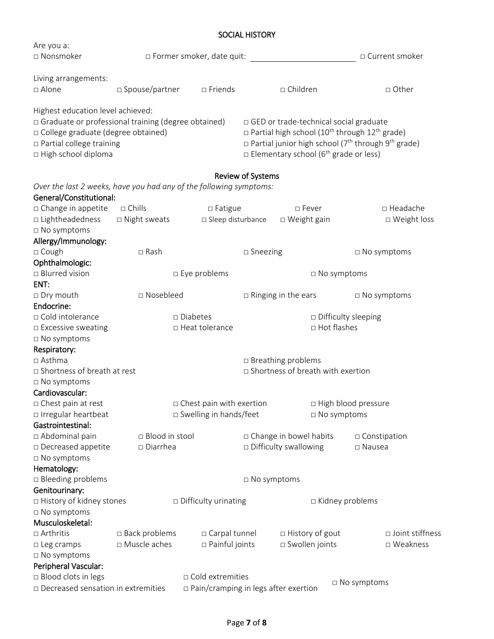# SOCIAL HISTORY

| Are you a:                                                         |                  |                                             |                          |                                                                              |                                                                                   |
|--------------------------------------------------------------------|------------------|---------------------------------------------|--------------------------|------------------------------------------------------------------------------|-----------------------------------------------------------------------------------|
| □ Nonsmoker                                                        |                  | □ Former smoker, date quit:                 |                          |                                                                              | □ Current smoker                                                                  |
| Living arrangements:                                               |                  |                                             |                          |                                                                              |                                                                                   |
| □ Alone                                                            | □ Spouse/partner | $\square$ Friends                           |                          | □ Children                                                                   | □ Other                                                                           |
| Highest education level achieved:                                  |                  |                                             |                          |                                                                              |                                                                                   |
| □ Graduate or professional training (degree obtained)              |                  |                                             |                          | □ GED or trade-technical social graduate                                     |                                                                                   |
| □ College graduate (degree obtained)                               |                  |                                             |                          | $\Box$ Partial high school (10 <sup>th</sup> through 12 <sup>th</sup> grade) |                                                                                   |
| $\Box$ Partial college training                                    |                  |                                             |                          |                                                                              | $\Box$ Partial junior high school (7 <sup>th</sup> through 9 <sup>th</sup> grade) |
| □ High school diploma                                              |                  |                                             |                          | $\Box$ Elementary school (6 <sup>th</sup> grade or less)                     |                                                                                   |
|                                                                    |                  |                                             | <b>Review of Systems</b> |                                                                              |                                                                                   |
| Over the last 2 weeks, have you had any of the following symptoms: |                  |                                             |                          |                                                                              |                                                                                   |
| General/Constitutional:                                            |                  |                                             |                          |                                                                              |                                                                                   |
| □ Change in appetite                                               | $\square$ Chills | $\Box$ Fatigue                              |                          | □ Fever                                                                      | □ Headache                                                                        |
| □ Lightheadedness                                                  | □ Night sweats   | □ Sleep disturbance                         |                          | $\Box$ Weight gain                                                           | □ Weight loss                                                                     |
| □ No symptoms                                                      |                  |                                             |                          |                                                                              |                                                                                   |
| Allergy/Immunology:                                                |                  |                                             |                          |                                                                              |                                                                                   |
| □ Cough                                                            | $\square$ Rash   |                                             | $\square$ Sneezing       |                                                                              | □ No symptoms                                                                     |
| Ophthalmologic:                                                    |                  |                                             |                          |                                                                              |                                                                                   |
| □ Blurred vision                                                   |                  | $\square$ Eye problems                      |                          | □ No symptoms                                                                |                                                                                   |
| ENT:                                                               |                  |                                             |                          |                                                                              |                                                                                   |
| □ Dry mouth                                                        | □ Nosebleed      |                                             |                          | $\Box$ Ringing in the ears                                                   | $\square$ No symptoms                                                             |
| Endocrine:                                                         |                  |                                             |                          |                                                                              |                                                                                   |
| □ Cold intolerance                                                 |                  | $\square$ Diabetes                          |                          |                                                                              | □ Difficulty sleeping                                                             |
| □ Excessive sweating                                               |                  | □ Heat tolerance                            |                          | □ Hot flashes                                                                |                                                                                   |
| □ No symptoms                                                      |                  |                                             |                          |                                                                              |                                                                                   |
| Respiratory:                                                       |                  |                                             |                          |                                                                              |                                                                                   |
| □ Asthma                                                           |                  |                                             |                          | $\square$ Breathing problems                                                 |                                                                                   |
| □ Shortness of breath at rest                                      |                  |                                             |                          | □ Shortness of breath with exertion                                          |                                                                                   |
| □ No symptoms                                                      |                  |                                             |                          |                                                                              |                                                                                   |
| Cardiovascular:                                                    |                  |                                             |                          |                                                                              |                                                                                   |
| □ Chest pain at rest                                               |                  | □ Chest pain with exertion                  |                          |                                                                              | □ High blood pressure                                                             |
| □ Irregular heartbeat                                              |                  | □ Swelling in hands/feet                    |                          | □ No symptoms                                                                |                                                                                   |
| Gastrointestinal:                                                  |                  |                                             |                          |                                                                              |                                                                                   |
| □ Abdominal pain                                                   | □ Blood in stool |                                             |                          | □ Change in bowel habits                                                     | □ Constipation                                                                    |
| □ Decreased appetite                                               | □ Diarrhea       |                                             |                          | $\Box$ Difficulty swallowing                                                 | $\square$ Nausea                                                                  |
| □ No symptoms                                                      |                  |                                             |                          |                                                                              |                                                                                   |
| Hematology:                                                        |                  |                                             |                          |                                                                              |                                                                                   |
| □ Bleeding problems                                                |                  |                                             | $\Box$ No symptoms       |                                                                              |                                                                                   |
| Genitourinary:                                                     |                  |                                             |                          |                                                                              |                                                                                   |
| □ History of kidney stones                                         |                  | $\Box$ Difficulty urinating                 |                          | $\Box$ Kidney problems                                                       |                                                                                   |
| □ No symptoms                                                      |                  |                                             |                          |                                                                              |                                                                                   |
| Musculoskeletal:                                                   |                  |                                             |                          |                                                                              |                                                                                   |
| □ Arthritis                                                        | □ Back problems  | □ Carpal tunnel                             |                          | □ History of gout                                                            | □ Joint stiffness                                                                 |
| □ Leg cramps                                                       | □ Muscle aches   | $\Box$ Painful joints                       |                          | □ Swollen joints                                                             | □ Weakness                                                                        |
| □ No symptoms                                                      |                  |                                             |                          |                                                                              |                                                                                   |
| Peripheral Vascular:                                               |                  |                                             |                          |                                                                              |                                                                                   |
| □ Blood clots in legs                                              |                  | □ Cold extremities                          |                          |                                                                              | □ No symptoms                                                                     |
| □ Decreased sensation in extremities                               |                  | $\Box$ Pain/cramping in legs after exertion |                          |                                                                              |                                                                                   |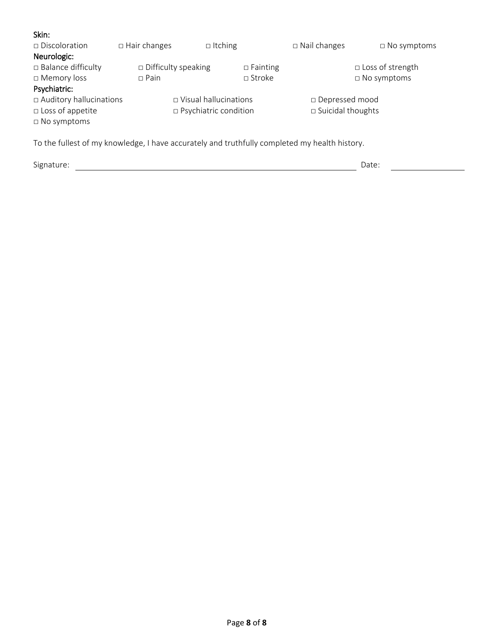| Skin:                                                                                         |                            |                         |                 |                             |                         |
|-----------------------------------------------------------------------------------------------|----------------------------|-------------------------|-----------------|-----------------------------|-------------------------|
| $\Box$ Discoloration                                                                          | $\Box$ Hair changes        | $\Box$ Itching          |                 | $\Box$ Nail changes         | $\Box$ No symptoms      |
| Neurologic:                                                                                   |                            |                         |                 |                             |                         |
| $\Box$ Balance difficulty                                                                     | $\Box$ Difficulty speaking |                         | $\Box$ Fainting |                             | $\Box$ Loss of strength |
| □ Memory loss                                                                                 | $\Box$ Pain                |                         | $\sqcap$ Stroke |                             | $\square$ No symptoms   |
| Psychiatric:                                                                                  |                            |                         |                 |                             |                         |
| $\Box$ Auditory hallucinations                                                                |                            | □ Visual hallucinations |                 | □ Depressed mood            |                         |
| $\Box$ Loss of appetite                                                                       |                            | □ Psychiatric condition |                 | $\square$ Suicidal thoughts |                         |
| $\Box$ No symptoms                                                                            |                            |                         |                 |                             |                         |
|                                                                                               |                            |                         |                 |                             |                         |
| To the fullest of my knowledge, I have accurately and truthfully completed my health history. |                            |                         |                 |                             |                         |

Signature: Date: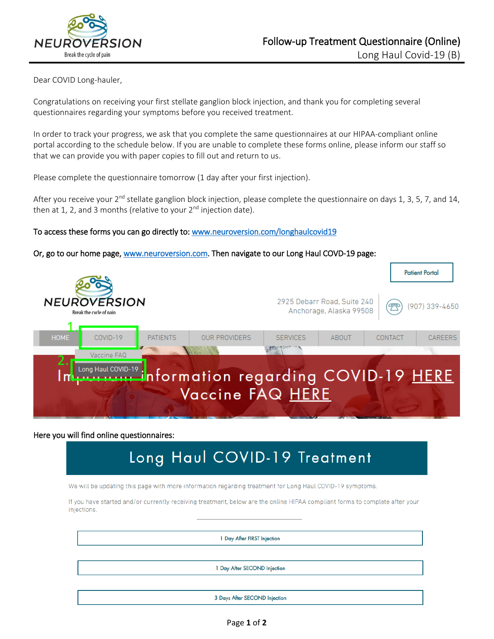

Dear COVID Long-hauler,

Congratulations on receiving your first stellate ganglion block injection, and thank you for completing several questionnaires regarding your symptoms before you received treatment.

In order to track your progress, we ask that you complete the same questionnaires at our HIPAA-compliant online portal according to the schedule below. If you are unable to complete these forms online, please inform our staff so that we can provide you with paper copies to fill out and return to us.

Please complete the questionnaire tomorrow (1 day after your first injection).

After you receive your  $2^{nd}$  stellate ganglion block injection, please complete the questionnaire on days 1, 3, 5, 7, and 14, then at 1, 2, and 3 months (relative to your  $2<sup>nd</sup>$  injection date).

# To access these forms you can go directly to: [www.neuroversion.com/longhaulcovid19](http://www.neuroversion.com/longhaulcovid19)

# Or, go to our home page, [www.neuroversion.com.](http://www.neuroversion.com/) Then navigate to our Long Haul COVD-19 page:



### Here you will find online questionnaires:

# Long Haul COVID-19 Treatment

We will be updating this page with more information regarding treatment for Long Haul COVID-19 symptoms.

If you have started and/or currently receiving treatment, below are the online HIPAA compliant forms to complete after your injections.

1 Day After FIRST Injection

1 Day After SECOND Injection

3 Days After SECOND Injection